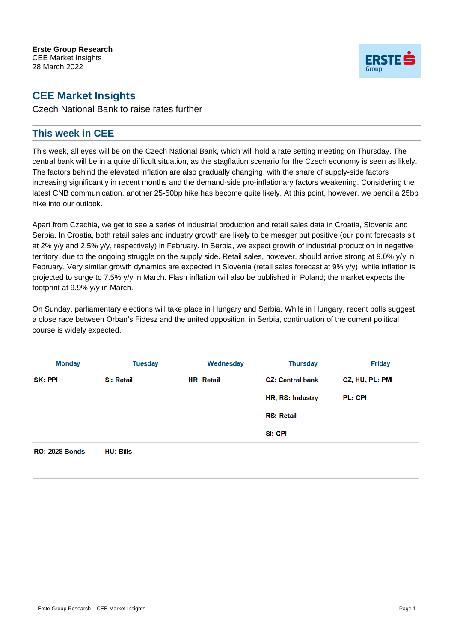

## **CEE Market Insights**

Czech National Bank to raise rates further

## **This week in CEE**

This week, all eyes will be on the Czech National Bank, which will hold a rate setting meeting on Thursday. The central bank will be in a quite difficult situation, as the stagflation scenario for the Czech economy is seen as likely. The factors behind the elevated inflation are also gradually changing, with the share of supply-side factors increasing significantly in recent months and the demand-side pro-inflationary factors weakening. Considering the latest CNB communication, another 25-50bp hike has become quite likely. At this point, however, we pencil a 25bp hike into our outlook.

Apart from Czechia, we get to see a series of industrial production and retail sales data in Croatia, Slovenia and Serbia. In Croatia, both retail sales and industry growth are likely to be meager but positive (our point forecasts sit at 2% y/y and 2.5% y/y, respectively) in February. In Serbia, we expect growth of industrial production in negative territory, due to the ongoing struggle on the supply side. Retail sales, however, should arrive strong at 9.0% y/y in February. Very similar growth dynamics are expected in Slovenia (retail sales forecast at 9% y/y), while inflation is projected to surge to 7.5% y/y in March. Flash inflation will also be published in Poland; the market expects the footprint at 9.9% y/y in March.

On Sunday, parliamentary elections will take place in Hungary and Serbia. While in Hungary, recent polls suggest a close race between Orban's Fidesz and the united opposition, in Serbia, continuation of the current political course is widely expected.

| <b>Monday</b>  | <b>Tuesday</b>    | Wednesday         | <b>Thursday</b>         | <b>Friday</b>   |
|----------------|-------------------|-------------------|-------------------------|-----------------|
| <b>SK: PPI</b> | <b>SI: Retail</b> | <b>HR: Retail</b> | <b>CZ: Central bank</b> | CZ, HU, PL: PMI |
|                |                   |                   | HR, RS: Industry        | PL: CPI         |
|                |                   |                   | <b>RS: Retail</b>       |                 |
|                |                   |                   | SI: CPI                 |                 |

**RO: 2028 Bonds HU: Bills**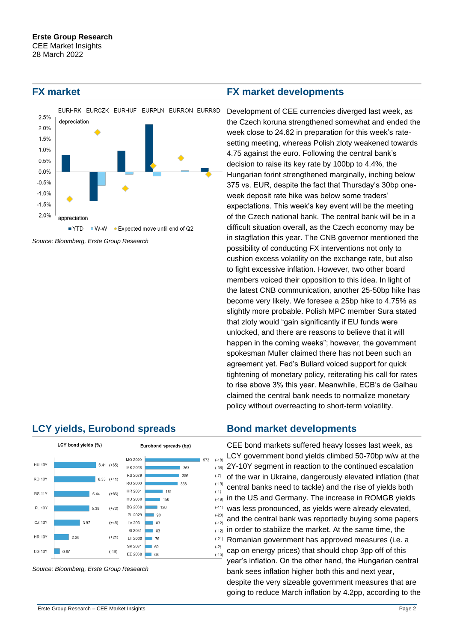

*Source: Bloomberg, Erste Group Research*

## **LCY yields, Eurobond spreads Bond market developments**



*Source: Bloomberg, Erste Group Research*

### **FX market FX market developments**

Development of CEE currencies diverged last week, as the Czech koruna strengthened somewhat and ended the week close to 24.62 in preparation for this week's ratesetting meeting, whereas Polish zloty weakened towards 4.75 against the euro. Following the central bank's decision to raise its key rate by 100bp to 4.4%, the Hungarian forint strengthened marginally, inching below 375 vs. EUR, despite the fact that Thursday's 30bp oneweek deposit rate hike was below some traders' expectations. This week's key event will be the meeting of the Czech national bank. The central bank will be in a difficult situation overall, as the Czech economy may be in stagflation this year. The CNB governor mentioned the possibility of conducting FX interventions not only to cushion excess volatility on the exchange rate, but also to fight excessive inflation. However, two other board members voiced their opposition to this idea. In light of the latest CNB communication, another 25-50bp hike has become very likely. We foresee a 25bp hike to 4.75% as slightly more probable. Polish MPC member Sura stated that zloty would "gain significantly if EU funds were unlocked, and there are reasons to believe that it will happen in the coming weeks"; however, the government spokesman Muller claimed there has not been such an agreement yet. Fed's Bullard voiced support for quick tightening of monetary policy, reiterating his call for rates to rise above 3% this year. Meanwhile, ECB's de Galhau claimed the central bank needs to normalize monetary policy without overreacting to short-term volatility.

CEE bond markets suffered heavy losses last week, as LCY government bond yields climbed 50-70bp w/w at the 2Y-10Y segment in reaction to the continued escalation of the war in Ukraine, dangerously elevated inflation (that central banks need to tackle) and the rise of yields both  $_{(19)}$  in the US and Germany. The increase in ROMGB yields was less pronounced, as yields were already elevated, and the central bank was reportedly buying some papers (-12) in order to stabilize the market. At the same time, the Romanian government has approved measures (i.e. a cap on energy prices) that should chop 3pp off of this year's inflation. On the other hand, the Hungarian central bank sees inflation higher both this and next year, despite the very sizeable government measures that are going to reduce March inflation by 4.2pp, according to the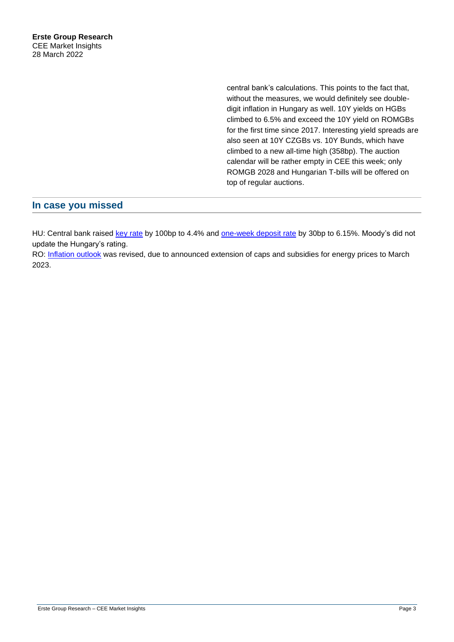central bank's calculations. This points to the fact that, without the measures, we would definitely see doubledigit inflation in Hungary as well. 10Y yields on HGBs climbed to 6.5% and exceed the 10Y yield on ROMGBs for the first time since 2017. Interesting yield spreads are also seen at 10Y CZGBs vs. 10Y Bunds, which have climbed to a new all-time high (358bp). The auction calendar will be rather empty in CEE this week; only ROMGB 2028 and Hungarian T-bills will be offered on top of regular auctions.

## **In case you missed**

HU: Central bank raised [key rate](https://www.erstegroup.com/en/research/report/en/SR268722) by 100bp to 4.4% and [one-week deposit rate](https://www.erstegroup.com/en/research/report/en/SR269229) by 30bp to 6.15%. Moody's did not update the Hungary's rating.

RO: [Inflation outlook](https://www.erstegroup.com/en/research/report/en/SR269184) was revised, due to announced extension of caps and subsidies for energy prices to March 2023.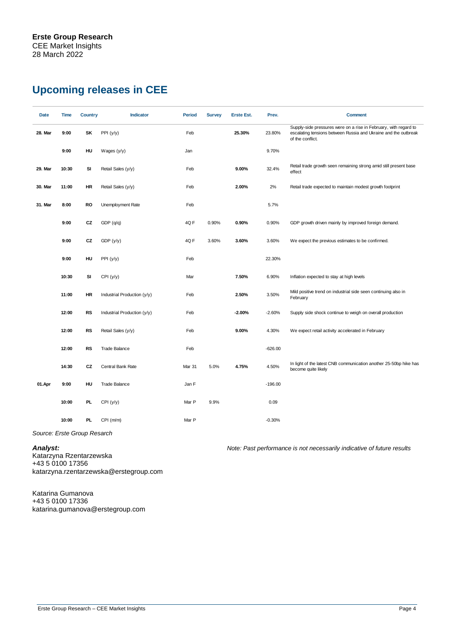# **Upcoming releases in CEE**

| Date    | Time  | <b>Country</b> | <b>Indicator</b>            | <b>Period</b> | <b>Survey</b> | <b>Erste Est.</b> | Prev.     | <b>Comment</b>                                                                                                                                          |
|---------|-------|----------------|-----------------------------|---------------|---------------|-------------------|-----------|---------------------------------------------------------------------------------------------------------------------------------------------------------|
| 28. Mar | 9:00  | SK             | PPI (y/y)                   | Feb           |               | 25.30%            | 23.80%    | Supply-side pressures were on a rise in February, with regard to<br>escalating tensions between Russia and Ukraine and the outbreak<br>of the conflict. |
|         | 9:00  | HU             | Wages $(y/y)$               | Jan           |               |                   | 9.70%     |                                                                                                                                                         |
| 29. Mar | 10:30 | SI             | Retail Sales (y/y)          | Feb           |               | 9.00%             | 32.4%     | Retail trade growth seen remaining strong amid still present base<br>effect                                                                             |
| 30. Mar | 11:00 | <b>HR</b>      | Retail Sales (y/y)          | Feb           |               | 2.00%             | 2%        | Retail trade expected to maintain modest growth footprint                                                                                               |
| 31. Mar | 8:00  | <b>RO</b>      | Unemployment Rate           | Feb           |               |                   | 5.7%      |                                                                                                                                                         |
|         | 9:00  | CZ             | GDP(q/q)                    | 4QF           | 0.90%         | 0.90%             | 0.90%     | GDP growth driven mainly by improved foreign demand.                                                                                                    |
|         | 9:00  | CZ             | GDP(y/y)                    | 4QF           | 3.60%         | 3.60%             | 3.60%     | We expect the previous estimates to be confirmed.                                                                                                       |
|         | 9:00  | HU             | PPI (y/y)                   | Feb           |               |                   | 22.30%    |                                                                                                                                                         |
|         | 10:30 | SI             | CPI(y/y)                    | Mar           |               | 7.50%             | 6.90%     | Inflation expected to stay at high levels                                                                                                               |
|         | 11:00 | <b>HR</b>      | Industrial Production (y/y) | Feb           |               | 2.50%             | 3.50%     | Mild positive trend on industrial side seen continuing also in<br>February                                                                              |
|         | 12:00 | <b>RS</b>      | Industrial Production (y/y) | Feb           |               | $-2.00%$          | $-2.60%$  | Supply side shock continue to weigh on overall production                                                                                               |
|         | 12:00 | <b>RS</b>      | Retail Sales (y/y)          | Feb           |               | 9.00%             | 4.30%     | We expect retail activity accelerated in February                                                                                                       |
|         | 12:00 | <b>RS</b>      | <b>Trade Balance</b>        | Feb           |               |                   | $-626.00$ |                                                                                                                                                         |
|         | 14:30 | CZ             | Central Bank Rate           | Mar 31        | 5.0%          | 4.75%             | 4.50%     | In light of the latest CNB communication another 25-50bp hike has<br>become quite likely                                                                |
| 01.Apr  | 9:00  | HU             | <b>Trade Balance</b>        | Jan F         |               |                   | $-196.00$ |                                                                                                                                                         |
|         | 10:00 | PL.            | CPI (y/y)                   | Mar P         | 9.9%          |                   | 0.09      |                                                                                                                                                         |
|         | 10:00 | PL.            | CPI(m/m)                    | Mar P         |               |                   | $-0.30%$  |                                                                                                                                                         |

*Source: Erste Group Resarch*

Katarzyna Rzentarzewska +43 5 0100 17356 katarzyna.rzentarzewska@erstegroup.com

*Analyst: Note: Past performance is not necessarily indicative of future results*

Katarina Gumanova +43 5 0100 17336 katarina.gumanova@erstegroup.com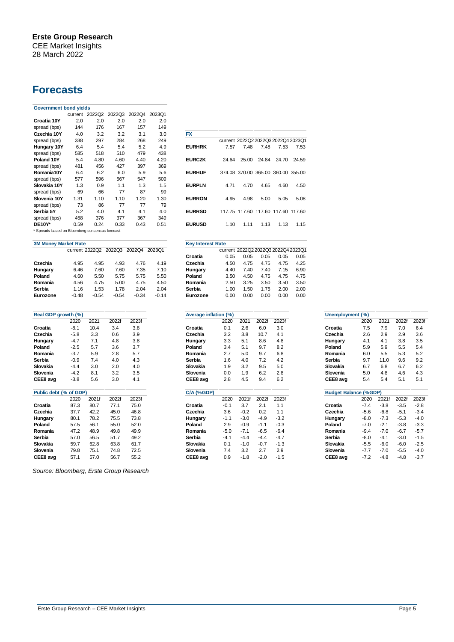# **Forecasts**

| <b>Government bond yields</b>                                     |      |      |                       |        |        |                                                            |
|-------------------------------------------------------------------|------|------|-----------------------|--------|--------|------------------------------------------------------------|
|                                                                   |      |      | current 2022Q2 2022Q3 | 2022Q4 | 2023Q1 |                                                            |
| Croatia 10Y                                                       | 2.0  | 2.0  | 2.0                   | 2.0    | 2.0    |                                                            |
| spread (bps)                                                      | 144  | 176  | 167                   | 157    | 149    |                                                            |
| Czechia 10Y                                                       | 4.0  | 3.2  | 3.2                   | 3.1    | 3.0    | <b>FX</b>                                                  |
| spread (bps)                                                      | 338  | 297  | 284                   | 268    | 249    | current 2022Q2 2022Q3 2022Q4 2023Q1                        |
| Hungary 10Y                                                       | 6.4  | 5.4  | 5.4                   | 5.2    | 4.9    | <b>EURHRK</b><br>7.48<br>7.57<br>7.48<br>7.53<br>7.53      |
| spread (bps)                                                      | 585  | 518  | 510                   | 479    | 438    |                                                            |
| Poland 10Y                                                        | 5.4  | 4.80 | 4.60                  | 4.40   | 4.20   | <b>EURCZK</b><br>24.64<br>25.00<br>24.84<br>24.70<br>24.59 |
| spread (bps)                                                      | 481  | 456  | 427                   | 397    | 369    |                                                            |
| Romania10Y                                                        | 6.4  | 6.2  | 6.0                   | 5.9    | 5.6    | <b>EURHUF</b><br>374.08 370.00 365.00 360.00 355.00        |
| spread (bps)                                                      | 577  | 596  | 567                   | 547    | 509    |                                                            |
| Slovakia 10Y                                                      | 1.3  | 0.9  | 1.1                   | 1.3    | 1.5    | <b>EURPLN</b><br>4.71<br>4.70<br>4.65<br>4.60<br>4.50      |
| spread (bps)                                                      | 69   | 66   | 77                    | 87     | 99     |                                                            |
| Slovenia 10Y                                                      | 1.31 | 1.10 | 1.10                  | 1.20   | 1.30   | <b>EURRON</b><br>4.95<br>5.00<br>4.98<br>5.05<br>5.08      |
| spread (bps)                                                      | 73   | 86   | 77                    | 77     | 79     |                                                            |
| Serbia 5Y                                                         | 5.2  | 4.0  | 4.1                   | 4.1    | 4.0    | <b>EURRSD</b><br>117.75 117.60 117.60 117.60 117.60        |
| spread (bps)                                                      | 458  | 376  | 377                   | 367    | 349    |                                                            |
| <b>DE10Y*</b>                                                     | 0.59 | 0.24 | 0.33                  | 0.43   | 0.51   | <b>EURUSD</b><br>1.13<br>1.10<br>1.11<br>1.13<br>1.15      |
| $\bullet$ Constant in the set of the Constantine set of $\bullet$ |      |      |                       |        |        |                                                            |

Spreads based on Bloomberg consensus forecast

| <b>3M Money Market Rate</b> |         |         |                       | <b>Key Interest Rate</b> |         |          |      |                                     |      |      |      |
|-----------------------------|---------|---------|-----------------------|--------------------------|---------|----------|------|-------------------------------------|------|------|------|
|                             |         |         | current 2022Q2 2022Q3 | 2022Q4                   | 2023Q1  |          |      | current 2022Q2 2022Q3 2022Q4 2023Q1 |      |      |      |
|                             |         |         |                       |                          |         | Croatia  | 0.05 | 0.05                                | 0.05 | 0.05 | 0.05 |
| Czechia                     | 4.95    | 4.95    | 4.93                  | 4.76                     | 4.19    | Czechia  | 4.50 | 4.75                                | 4.75 | 4.75 | 4.25 |
| Hungary                     | 6.46    | 7.60    | 7.60                  | 7.35                     | 7.10    | Hungary  | 4.40 | 7.40                                | 7.40 | 7.15 | 6.90 |
| Poland                      | 4.60    | 5.50    | 5.75                  | 5.75                     | 5.50    | Poland   | 3.50 | 4.50                                | 4.75 | 4.75 | 4.75 |
| Romania                     | 4.56    | 4.75    | 5.00                  | 4.75                     | 4.50    | Romania  | 2.50 | 3.25                                | 3.50 | 3.50 | 3.50 |
| Serbia                      | 1.16    | 1.53    | 1.78                  | 2.04                     | 2.04    | Serbia   | 1.00 | 1.50                                | 1.75 | 2.00 | 2.00 |
| Eurozone                    | $-0.48$ | $-0.54$ | $-0.54$               | $-0.34$                  | $-0.14$ | Eurozone | 0.00 | 0.00                                | 0.00 | 0.00 | 0.00 |

| Real GDP growth (%)    |        |       |       |       | Average inflation (%) |        |        |        |        | Unemployment (%)             |        |        |        |        |
|------------------------|--------|-------|-------|-------|-----------------------|--------|--------|--------|--------|------------------------------|--------|--------|--------|--------|
|                        | 2020   | 2021  | 2022f | 2023f |                       | 2020   | 2021   | 2022f  | 2023f  |                              | 2020   | 2021   | 2022f  | 2023   |
| Croatia                | $-8.1$ | 10.4  | 3.4   | 3.8   | Croatia               | 0.1    | 2.6    | 6.0    | 3.0    | Croatia                      | 7.5    | 7.9    | 7.0    | 6.4    |
| Czechia                | $-5.8$ | 3.3   | 0.6   | 3.9   | Czechia               | 3.2    | 3.8    | 10.7   | 4.1    | Czechia                      | 2.6    | 2.9    | 2.9    | 3.6    |
| Hungary                | $-4.7$ | 7.1   | 4.8   | 3.8   | Hungary               | 3.3    | 5.1    | 8.6    | 4.8    | Hungary                      | 4.1    | 4.1    | 3.8    | 3.5    |
| Poland                 | $-2.5$ | 5.7   | 3.6   | 3.7   | Poland                | 3.4    | 5.1    | 9.7    | 8.2    | Poland                       | 5.9    | 5.9    | 5.5    | 5.4    |
| Romania                | $-3.7$ | 5.9   | 2.8   | 5.7   | Romania               | 2.7    | 5.0    | 9.7    | 6.8    | Romania                      | 6.0    | 5.5    | 5.3    | 5.2    |
| Serbia                 | $-0.9$ | 7.4   | 4.0   | 4.3   | <b>Serbia</b>         | 1.6    | 4.0    | 7.2    | 4.2    | <b>Serbia</b>                | 9.7    | 11.0   | 9.6    | 9.2    |
| Slovakia               | $-4.4$ | 3.0   | 2.0   | 4.0   | Slovakia              | 1.9    | 3.2    | 9.5    | 5.0    | Slovakia                     | 6.7    | 6.8    | 6.7    | 6.2    |
| Slovenia               | $-4.2$ | 8.1   | 3.2   | 3.5   | Slovenia              | 0.0    | 1.9    | 6.2    | 2.8    | Slovenia                     | 5.0    | 4.8    | 4.6    | 4.3    |
| CEE8 avg               | $-3.8$ | 5.6   | 3.0   | 4.1   | CEE8 avg              | 2.8    | 4.5    | 9.4    | 6.2    | CEE8 avg                     | 5.4    | 5.4    | 5.1    | 5.1    |
| Public debt (% of GDP) |        |       |       |       | $C/A$ (%GDP)          |        |        |        |        | <b>Budget Balance (%GDP)</b> |        |        |        |        |
|                        | 2020   | 2021f | 2022f | 2023f |                       | 2020   | 2021f  | 2022f  | 2023f  |                              | 2020   | 2021f  | 2022f  | 2023   |
| Croatia                | 87.3   | 80.7  | 77.1  | 75.0  | Croatia               | $-0.1$ | 3.7    | 2.1    | 1.1    | Croatia                      | $-7.4$ | $-3.8$ | $-3.5$ | $-2.8$ |
| Czechia                | 37.7   | 42.2  | 45.0  | 46.8  | Czechia               | 3.6    | $-0.2$ | 0.2    | 1.1    | Czechia                      | $-5.6$ | $-6.8$ | $-5.1$ | $-3.4$ |
| Hungary                | 80.1   | 78.2  | 75.5  | 73.8  | Hungary               | $-1.1$ | $-3.0$ | $-4.9$ | $-3.2$ | Hungary                      | $-8.0$ | $-7.3$ | $-5.3$ | $-4.0$ |
| Poland                 | 57.5   | 56.1  | 55.0  | 52.0  | Poland                | 2.9    | $-0.9$ | $-1.1$ | $-0.3$ | Poland                       | $-7.0$ | $-2.1$ | $-3.8$ | $-3.3$ |
| Romania                | 47.2   | 48.9  | 49.8  | 49.9  | Romania               | $-5.0$ | $-7.1$ | $-6.5$ | $-6.4$ | Romania                      | $-9.4$ | $-7.0$ | $-6.7$ | $-5.7$ |
| Serbia                 | 57.0   | 56.5  | 51.7  | 49.2  | Serbia                | $-4.1$ | $-4.4$ | $-4.4$ | $-4.7$ | Serbia                       | $-8.0$ | $-4.1$ | $-3.0$ | $-1.5$ |
| Slovakia               | 59.7   | 62.8  | 63.8  | 61.7  | Slovakia              | 0.1    | $-1.0$ | $-0.7$ | $-1.3$ | Slovakia                     | $-5.5$ | $-6.0$ | $-6.0$ | $-2.5$ |
| Slovenia               | 79.8   | 75.1  | 74.8  | 72.5  | Slovenia              | 7.4    | 3.2    | 2.7    | 2.9    | Slovenia                     | $-7.7$ | $-7.0$ | $-5.5$ | $-4.0$ |
| CEE8 avg               | 57.1   | 57.0  | 56.7  | 55.2  | CEE8 avg              | 0.9    | $-1.8$ | $-2.0$ | $-1.5$ | CEE8 avg                     | $-7.2$ | $-4.8$ | $-4.8$ | $-3.7$ |
|                        |        |       |       |       |                       |        |        |        |        |                              |        |        |        |        |

*Source: Bloomberg, Erste Group Research*

| FX            |       |                                     |                   |       |       |
|---------------|-------|-------------------------------------|-------------------|-------|-------|
|               |       | current 2022Q2 2022Q3 2022Q4 2023Q1 |                   |       |       |
| <b>FURHRK</b> | 7.57  | 7 48                                | 748               | 7.53  | 7.53  |
| <b>FURCZK</b> | 24.64 |                                     | 25.00 24.84 24.70 |       | 24.59 |
| <b>EURHUF</b> |       | 374.08 370.00 365.00 360.00 355.00  |                   |       |       |
| <b>EURPLN</b> | 471   | 4.70                                | 4.65              | 4.60  | 4.50  |
| <b>EURRON</b> | 4.95  | 4.98                                | 5.00              | 5 05  | 5.08  |
| <b>EURRSD</b> |       | 117.75 117.60 117.60 117.60 117.60  |                   |       |       |
| <b>EURUSD</b> | 110   | 1 1 1                               | 1 1 3             | 1 1 3 | 1 15  |
|               |       |                                     |                   |       |       |

### **Xey Interest Rate**

|          |         |         |                              |         |         | . . <i>.</i> |                                     |      |      |      |      |
|----------|---------|---------|------------------------------|---------|---------|--------------|-------------------------------------|------|------|------|------|
|          |         |         | current 2022Q2 2022Q3 2022Q4 |         | 2023Q1  |              | current 2022Q2 2022Q3 2022Q4 2023Q1 |      |      |      |      |
|          |         |         |                              |         |         | Croatia      | 0.05                                | 0.05 | 0.05 | 0.05 | 0.05 |
| Czechia  | 4.95    | 4.95    | 4.93                         | 4.76    | 4.19    | Czechia      | 4.50                                | 4.75 | 4.75 | 4.75 | 4.25 |
| Hungary  | 6.46    | 7.60    | 7.60                         | 7.35    | 7.10    | Hungary      | 4.40                                | 7.40 | 7.40 | 7.15 | 6.90 |
| Poland   | 4.60    | 5.50    | 5.75                         | 5.75    | 5.50    | Poland       | 3.50                                | 4.50 | 4.75 | 4.75 | 4.75 |
| Romania  | 4.56    | 4.75    | 5.00                         | 4.75    | 4.50    | Romania      | 2.50                                | 3.25 | 3.50 | 3.50 | 3.50 |
| Serbia   | 1.16    | 1.53    | 1.78                         | 2.04    | 2.04    | Serbia       | 1.00                                | 1.50 | 1.75 | 2.00 | 2.00 |
| Eurozone | $-0.48$ | $-0.54$ | $-0.54$                      | $-0.34$ | $-0.14$ | Eurozone     | 0.00                                | 0.00 | 0.00 | 0.00 | 0.00 |
|          |         |         |                              |         |         |              |                                     |      |      |      |      |

| th (%)  |       |       |       | Average inflation (%) |        |        |        |        | Unemployment (%)             |        |        |        |        |
|---------|-------|-------|-------|-----------------------|--------|--------|--------|--------|------------------------------|--------|--------|--------|--------|
| 2020    | 2021  | 2022f | 2023f |                       | 2020   | 2021   | 2022f  | 2023f  |                              | 2020   | 2021   | 2022f  | 2023f  |
| $-8.1$  | 10.4  | 3.4   | 3.8   | Croatia               | 0.1    | 2.6    | 6.0    | 3.0    | Croatia                      | 7.5    | 7.9    | 7.0    | 6.4    |
| $-5.8$  | 3.3   | 0.6   | 3.9   | Czechia               | 3.2    | 3.8    | 10.7   | 4.1    | Czechia                      | 2.6    | 2.9    | 2.9    | 3.6    |
| $-4.7$  | 7.1   | 4.8   | 3.8   | Hungary               | 3.3    | 5.1    | 8.6    | 4.8    | Hungary                      | 4.1    | 4.1    | 3.8    | 3.5    |
| $-2.5$  | 5.7   | 3.6   | 3.7   | Poland                | 3.4    | 5.1    | 9.7    | 8.2    | Poland                       | 5.9    | 5.9    | 5.5    | 5.4    |
| $-3.7$  | 5.9   | 2.8   | 5.7   | Romania               | 2.7    | 5.0    | 9.7    | 6.8    | Romania                      | 6.0    | 5.5    | 5.3    | 5.2    |
| $-0.9$  | 7.4   | 4.0   | 4.3   | <b>Serbia</b>         | 1.6    | 4.0    | 7.2    | 4.2    | <b>Serbia</b>                | 9.7    | 11.0   | 9.6    | 9.2    |
| $-4.4$  | 3.0   | 2.0   | 4.0   | Slovakia              | 1.9    | 3.2    | 9.5    | 5.0    | Slovakia                     | 6.7    | 6.8    | 6.7    | 6.2    |
| $-4.2$  | 8.1   | 3.2   | 3.5   | Slovenia              | 0.0    | 1.9    | 6.2    | 2.8    | Slovenia                     | 5.0    | 4.8    | 4.6    | 4.3    |
| $-3.8$  | 5.6   | 3.0   | 4.1   | CEE8 avg              | 2.8    | 4.5    | 9.4    | 6.2    | CEE8 avg                     | 5.4    | 5.4    | 5.1    | 5.1    |
| of GDP) |       |       |       | C/A (%GDP)            |        |        |        |        | <b>Budget Balance (%GDP)</b> |        |        |        |        |
| 2020    | 2021f | 2022f | 2023f |                       | 2020   | 2021f  | 2022f  | 2023f  |                              | 2020   | 2021f  | 2022f  | 2023f  |
| 87.3    | 80.7  | 77.1  | 75.0  | Croatia               | $-0.1$ | 3.7    | 2.1    | 1.1    | Croatia                      | $-7.4$ | $-3.8$ | $-3.5$ | $-2.8$ |
| 37.7    | 42.2  | 45.0  | 46.8  | Czechia               | 3.6    | $-0.2$ | 0.2    | 1.1    | Czechia                      | $-5.6$ | $-6.8$ | $-5.1$ | $-3.4$ |
| 80.1    | 78.2  | 75.5  | 73.8  | Hungary               | $-1.1$ | $-3.0$ | $-4.9$ | $-3.2$ | Hungary                      | $-8.0$ | $-7.3$ | $-5.3$ | $-4.0$ |
| 57.5    | 56.1  | 55.0  | 52.0  | Poland                | 2.9    | $-0.9$ | $-1.1$ | $-0.3$ | Poland                       | $-7.0$ | $-2.1$ | $-3.8$ | $-3.3$ |
| 47.2    | 48.9  | 49.8  | 49.9  | Romania               | $-5.0$ | $-7.1$ | $-6.5$ | $-6.4$ | Romania                      | $-9.4$ | $-7.0$ | $-6.7$ | $-5.7$ |
| 57.0    | 56.5  | 51.7  | 49.2  | Serbia                | $-4.1$ | $-4.4$ | $-4.4$ | $-4.7$ | Serbia                       | $-8.0$ | $-4.1$ | $-3.0$ | $-1.5$ |
| 59.7    | 62.8  | 63.8  | 61.7  | Slovakia              | 0.1    | $-1.0$ | $-0.7$ | $-1.3$ | Slovakia                     | $-5.5$ | $-6.0$ | $-6.0$ | $-2.5$ |
| 79.8    | 75.1  | 74.8  | 72.5  | Slovenia              | 7.4    | 3.2    | 2.7    | 2.9    | Slovenia                     | $-7.7$ | $-7.0$ | $-5.5$ | $-4.0$ |
| 57.1    | 57.0  | 56.7  | 55.2  | CEE8 avg              | 0.9    | $-1.8$ | $-2.0$ | $-1.5$ | CEE8 avg                     | $-7.2$ | $-4.8$ | $-4.8$ | $-3.7$ |
|         |       |       |       |                       |        |        |        |        |                              |        |        |        |        |

| Unemployment (%) |      |                 |       |       |  |  |  |
|------------------|------|-----------------|-------|-------|--|--|--|
|                  | 2020 | 2021            | 2022f | 2023f |  |  |  |
| Croatia          | 7.5  | 79              | 70    | ճ 4   |  |  |  |
| Czechia          | 26   | 29              | 29    | 3.6   |  |  |  |
| Hungary          | 41   | 41              | 3.8   | 3.5   |  |  |  |
| Poland           | 5.9  | 5.9             | 5.5   | 54    |  |  |  |
| Romania          | 6.0  | 5.5             | 5.3   | 5.2   |  |  |  |
| Serbia           | 9.7  | 11 <sub>0</sub> | 9.6   | 92    |  |  |  |
| Slovakia         | 67   | 68              | 6.7   | 6.2   |  |  |  |
| Slovenia         | 5.0  | 48              | 4 6   | 43    |  |  |  |
| CEE8 avg         | 5.4  | 54              | 5.1   | 5.1   |  |  |  |
|                  |      |                 |       |       |  |  |  |

| <b>Budget Balance (%GDP)</b> |        |        |        |        |  |  |  |
|------------------------------|--------|--------|--------|--------|--|--|--|
|                              | 2020   | 2021f  | 2022f  | 2023f  |  |  |  |
| Croatia                      | -74    | $-3.8$ | $-3.5$ | $-2.8$ |  |  |  |
| Czechia                      | $-5.6$ | $-6.8$ | $-5.1$ | $-3.4$ |  |  |  |
| Hungary                      | $-8.0$ | -73    | -53    | $-4.0$ |  |  |  |
| Poland                       | -70    | -21    | $-3.8$ | $-3.3$ |  |  |  |
| Romania                      | $-9.4$ | -70    | $-6.7$ | $-5.7$ |  |  |  |
| Serbia                       | $-8.0$ | $-41$  | $-3.0$ | $-1.5$ |  |  |  |
| Slovakia                     | $-5.5$ | $-6.0$ | $-6.0$ | $-2.5$ |  |  |  |
| Slovenia                     | -77    | -70    | -5.5   | $-4.0$ |  |  |  |
| CEE8 avg                     | -72    | -48    | -4 8   | $-3.7$ |  |  |  |
|                              |        |        |        |        |  |  |  |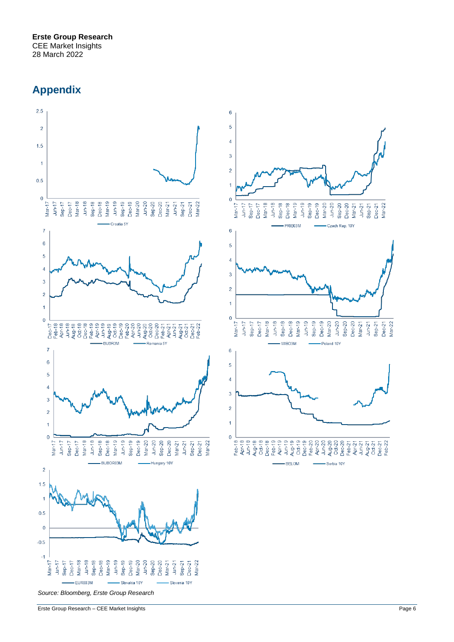# **Appendix**

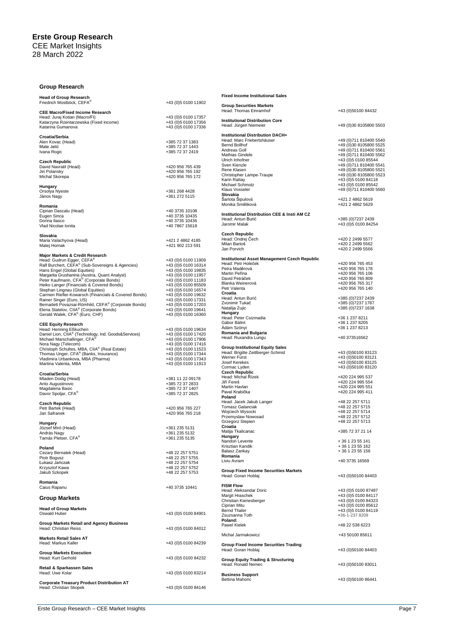### **Group Research**

|                      | <b>Fixed Incon</b>                                                                                                                                                                                                                                                                                                                                                                                                                                                                                                                                                                                                                       |
|----------------------|------------------------------------------------------------------------------------------------------------------------------------------------------------------------------------------------------------------------------------------------------------------------------------------------------------------------------------------------------------------------------------------------------------------------------------------------------------------------------------------------------------------------------------------------------------------------------------------------------------------------------------------|
|                      | <b>Group Secu</b><br>Head: Thom                                                                                                                                                                                                                                                                                                                                                                                                                                                                                                                                                                                                          |
|                      |                                                                                                                                                                                                                                                                                                                                                                                                                                                                                                                                                                                                                                          |
| +43 (0)5 0100 17356  | Institutiona                                                                                                                                                                                                                                                                                                                                                                                                                                                                                                                                                                                                                             |
| +43 (0)5 0100 17336  | Head: Jürge                                                                                                                                                                                                                                                                                                                                                                                                                                                                                                                                                                                                                              |
|                      | Institutional                                                                                                                                                                                                                                                                                                                                                                                                                                                                                                                                                                                                                            |
| +385 72 37 1383      | Head: Marc<br><b>Bernd Bollho</b>                                                                                                                                                                                                                                                                                                                                                                                                                                                                                                                                                                                                        |
|                      | Andreas Gol                                                                                                                                                                                                                                                                                                                                                                                                                                                                                                                                                                                                                              |
|                      | Mathias Gine                                                                                                                                                                                                                                                                                                                                                                                                                                                                                                                                                                                                                             |
|                      | Ulrich Inhofn<br>Sven Kienzk                                                                                                                                                                                                                                                                                                                                                                                                                                                                                                                                                                                                             |
|                      | Rene Klaser                                                                                                                                                                                                                                                                                                                                                                                                                                                                                                                                                                                                                              |
|                      | Christopher                                                                                                                                                                                                                                                                                                                                                                                                                                                                                                                                                                                                                              |
|                      | Karin Rattay                                                                                                                                                                                                                                                                                                                                                                                                                                                                                                                                                                                                                             |
|                      | Michael Sch<br><b>Klaus Vosse</b>                                                                                                                                                                                                                                                                                                                                                                                                                                                                                                                                                                                                        |
|                      | Slovakia                                                                                                                                                                                                                                                                                                                                                                                                                                                                                                                                                                                                                                 |
|                      | Šarlota Šipu<br>Monika Smě                                                                                                                                                                                                                                                                                                                                                                                                                                                                                                                                                                                                               |
|                      |                                                                                                                                                                                                                                                                                                                                                                                                                                                                                                                                                                                                                                          |
| +40 3735 10435       | Institutiona                                                                                                                                                                                                                                                                                                                                                                                                                                                                                                                                                                                                                             |
| +40 3735 10436       | Head: Antun<br>Jaromir Mala                                                                                                                                                                                                                                                                                                                                                                                                                                                                                                                                                                                                              |
|                      |                                                                                                                                                                                                                                                                                                                                                                                                                                                                                                                                                                                                                                          |
|                      | Czech Repu                                                                                                                                                                                                                                                                                                                                                                                                                                                                                                                                                                                                                               |
| +421 2 4862 4185     | Head: Ondre<br>Milan Bartoš                                                                                                                                                                                                                                                                                                                                                                                                                                                                                                                                                                                                              |
|                      | Jan Porvich                                                                                                                                                                                                                                                                                                                                                                                                                                                                                                                                                                                                                              |
|                      |                                                                                                                                                                                                                                                                                                                                                                                                                                                                                                                                                                                                                                          |
| +43 (0)5 0100 11909  | Institutiona<br>Head: Petr H                                                                                                                                                                                                                                                                                                                                                                                                                                                                                                                                                                                                             |
|                      | Petra Maděr                                                                                                                                                                                                                                                                                                                                                                                                                                                                                                                                                                                                                              |
| +43 (0) 5 0100 11957 | Martin Peřin                                                                                                                                                                                                                                                                                                                                                                                                                                                                                                                                                                                                                             |
| +43 (0) 5 0100 11183 | David Petrá<br>Blanka Wein                                                                                                                                                                                                                                                                                                                                                                                                                                                                                                                                                                                                               |
|                      | Petr Valenta                                                                                                                                                                                                                                                                                                                                                                                                                                                                                                                                                                                                                             |
| +43 (0)5 0100 19632  | Croatia                                                                                                                                                                                                                                                                                                                                                                                                                                                                                                                                                                                                                                  |
| +43 (0)5 0100 17331  | Head: Antun<br>Zvonimir Tul                                                                                                                                                                                                                                                                                                                                                                                                                                                                                                                                                                                                              |
|                      | Natalija Zujio                                                                                                                                                                                                                                                                                                                                                                                                                                                                                                                                                                                                                           |
| +43 (0)5 0100 16360  | Hungary                                                                                                                                                                                                                                                                                                                                                                                                                                                                                                                                                                                                                                  |
|                      | Head: Peter<br>Gábor Bálint                                                                                                                                                                                                                                                                                                                                                                                                                                                                                                                                                                                                              |
|                      | Adám Szöny                                                                                                                                                                                                                                                                                                                                                                                                                                                                                                                                                                                                                               |
|                      | Romania ar                                                                                                                                                                                                                                                                                                                                                                                                                                                                                                                                                                                                                               |
| +43 (0) 5 0100 17906 | Head: Ruxar                                                                                                                                                                                                                                                                                                                                                                                                                                                                                                                                                                                                                              |
|                      | <b>Group Instit</b>                                                                                                                                                                                                                                                                                                                                                                                                                                                                                                                                                                                                                      |
| +43 (0)5 0100 17344  | Head: Brigitt                                                                                                                                                                                                                                                                                                                                                                                                                                                                                                                                                                                                                            |
| +43 (0) 5 0100 17343 | Werner Fürs<br>Josef Kerek                                                                                                                                                                                                                                                                                                                                                                                                                                                                                                                                                                                                               |
|                      | Cormac Lyd                                                                                                                                                                                                                                                                                                                                                                                                                                                                                                                                                                                                                               |
|                      | Czech Repu                                                                                                                                                                                                                                                                                                                                                                                                                                                                                                                                                                                                                               |
| +381 11 22 09178     | Head: Micha<br>Jiří Fereš                                                                                                                                                                                                                                                                                                                                                                                                                                                                                                                                                                                                                |
|                      | <b>Martin Havla</b>                                                                                                                                                                                                                                                                                                                                                                                                                                                                                                                                                                                                                      |
| +385 72 37 2825      | Pavel Krabič                                                                                                                                                                                                                                                                                                                                                                                                                                                                                                                                                                                                                             |
|                      | Poland<br>Head: Jacek                                                                                                                                                                                                                                                                                                                                                                                                                                                                                                                                                                                                                    |
|                      | Tomasz Gal                                                                                                                                                                                                                                                                                                                                                                                                                                                                                                                                                                                                                               |
| +420 956 765 218     | Wojciech Wy                                                                                                                                                                                                                                                                                                                                                                                                                                                                                                                                                                                                                              |
|                      | Przemyslaw<br>Grzegorz St                                                                                                                                                                                                                                                                                                                                                                                                                                                                                                                                                                                                                |
|                      | Croatia                                                                                                                                                                                                                                                                                                                                                                                                                                                                                                                                                                                                                                  |
| +361 235 5132        | Matija I kalic                                                                                                                                                                                                                                                                                                                                                                                                                                                                                                                                                                                                                           |
| +361 235 5135        | Hungary<br>Nandori Lev                                                                                                                                                                                                                                                                                                                                                                                                                                                                                                                                                                                                                   |
|                      | Krisztian Kar                                                                                                                                                                                                                                                                                                                                                                                                                                                                                                                                                                                                                            |
| +48 22 257 5751      | Balasz Zank                                                                                                                                                                                                                                                                                                                                                                                                                                                                                                                                                                                                                              |
| +48 22 257 5755      | Romania<br>Liviu Avram                                                                                                                                                                                                                                                                                                                                                                                                                                                                                                                                                                                                                   |
|                      |                                                                                                                                                                                                                                                                                                                                                                                                                                                                                                                                                                                                                                          |
| +48 22 257 5753      | <b>Group Fixer</b>                                                                                                                                                                                                                                                                                                                                                                                                                                                                                                                                                                                                                       |
|                      | Head: Gorar                                                                                                                                                                                                                                                                                                                                                                                                                                                                                                                                                                                                                              |
|                      | <b>FISM Flow</b>                                                                                                                                                                                                                                                                                                                                                                                                                                                                                                                                                                                                                         |
|                      | Head: Aleks                                                                                                                                                                                                                                                                                                                                                                                                                                                                                                                                                                                                                              |
|                      |                                                                                                                                                                                                                                                                                                                                                                                                                                                                                                                                                                                                                                          |
|                      | Margit Hraso                                                                                                                                                                                                                                                                                                                                                                                                                                                                                                                                                                                                                             |
|                      | Christian Kie<br>Ciprian Mitu                                                                                                                                                                                                                                                                                                                                                                                                                                                                                                                                                                                                            |
|                      | <b>Bernd Thale</b>                                                                                                                                                                                                                                                                                                                                                                                                                                                                                                                                                                                                                       |
| +43 (0)5 0100 84901  | Zsuzsanna 1                                                                                                                                                                                                                                                                                                                                                                                                                                                                                                                                                                                                                              |
|                      | Poland:<br>Pawel Kielel                                                                                                                                                                                                                                                                                                                                                                                                                                                                                                                                                                                                                  |
| +43 (0)5 0100 84012  |                                                                                                                                                                                                                                                                                                                                                                                                                                                                                                                                                                                                                                          |
|                      | Michal Jarm                                                                                                                                                                                                                                                                                                                                                                                                                                                                                                                                                                                                                              |
| +43 (0)5 0100 84239  | <b>Group Fixer</b>                                                                                                                                                                                                                                                                                                                                                                                                                                                                                                                                                                                                                       |
|                      | Head: Gorar                                                                                                                                                                                                                                                                                                                                                                                                                                                                                                                                                                                                                              |
|                      |                                                                                                                                                                                                                                                                                                                                                                                                                                                                                                                                                                                                                                          |
| +43 (0)5 0100 84232  | <b>Group Equi</b><br>Head: Ronal                                                                                                                                                                                                                                                                                                                                                                                                                                                                                                                                                                                                         |
|                      |                                                                                                                                                                                                                                                                                                                                                                                                                                                                                                                                                                                                                                          |
| +43 (0)5 0100 83214  | <b>Business S</b>                                                                                                                                                                                                                                                                                                                                                                                                                                                                                                                                                                                                                        |
| +43 (0) 5 0100 84146 | Bettina Mah                                                                                                                                                                                                                                                                                                                                                                                                                                                                                                                                                                                                                              |
|                      | +43 (0)5 0100 11902<br>+43 (0)5 0100 17357<br>+385 72 37 1443<br>+385 72 37 2419<br>+420 956 765 439<br>+420 956 765 192<br>+420 956 765 172<br>+361 268 4428<br>+361 272 5115<br>+40 3735 10108<br>+40 7867 15618<br>+421 902 213 591<br>+43 (0)5 0100 16314<br>+43 (0) 5 0100 19835<br>+43 (0)5 0100 85509<br>+43 (0)5 0100 16574<br>+43 (0)5 0100 17203<br>+43 (0)5 0100 19641<br>+43 (0)5 0100 19634<br>+43 (0)5 0100 17420<br>+43 (0)5 0100 17416<br>+43 (0) 5 0100 11523<br>+43 (0)5 0100 11913<br>+385 72 37 2833<br>+385 72 37 1407<br>+420 956 765 227<br>+361 235 5131<br>+48 22 257 5754<br>+48 22 257 5752<br>+40 3735 10441 |

| <b>Fixed Income Institutional Sales</b>                                                                                                                                                                                                                           |                                                                                                                                                                                                                                                                                      |
|-------------------------------------------------------------------------------------------------------------------------------------------------------------------------------------------------------------------------------------------------------------------|--------------------------------------------------------------------------------------------------------------------------------------------------------------------------------------------------------------------------------------------------------------------------------------|
| <b>Group Securities Markets</b><br>Head: Thomas Einramhof                                                                                                                                                                                                         | +43 (0)50100 84432                                                                                                                                                                                                                                                                   |
| <b>Institutional Distribution Core</b><br>Head: Jürgen Niemeier                                                                                                                                                                                                   | +49 (0)30 8105800 5503                                                                                                                                                                                                                                                               |
| Institutional Distribution DACH+<br>Head: Marc Friebertshäuser<br>Bernd Bollhof<br>Andreas Goll<br>Mathias Gindele<br>Ulrich Inhofner<br>Sven Kienzle<br>Rene Klasen<br>Christopher Lampe-Traupe<br>Karin Rattay<br>Michael Schmotz<br>Klaus Vosseler<br>Slovakia | +49 (0) 711 810400 5540<br>+49 (0)30 8105800 5525<br>+49 (0)711 810400 5561<br>+49 (0)711 810400 5562<br>+43 (0)5 0100 85544<br>+49 (0)711 810400 5541<br>+49 (0)30 8105800 5521<br>+49 (0)30 8105800 5523<br>+43 (0) 5 0100 84118<br>+43 (0) 5 0100 85542<br>+49 (0)711 810400 5560 |
| Šarlota Šipulová<br>Monika Směliková                                                                                                                                                                                                                              | +421 2 4862 5619<br>+421 2 4862 5629                                                                                                                                                                                                                                                 |
| Institutional Distribution CEE & Insti AM CZ<br>Head: Antun Burić<br>Jaromir Malak                                                                                                                                                                                | +385 (0) 7237 2439<br>+43 (0) 5 0100 84254                                                                                                                                                                                                                                           |
| <b>Czech Republic</b><br>Head: Ondrej Čech<br>Milan Bartoš<br>Jan Porvich                                                                                                                                                                                         | +420 2 2499 5577<br>+420 2 2499 5562<br>+420 2 2499 5566                                                                                                                                                                                                                             |
| Institutional Asset Management Czech Republic<br>Head: Petr Holeček<br>Petra Maděrová<br>Martin Peřina<br>David Petráček<br>Blanka Weinerová<br>Petr Valenta<br>Croatia<br>Head: Antun Burić                                                                      | +420 956 765 453<br>+420 956 765 178<br>+420 956 765 106<br>+420 956 765 809<br>+420 956 765 317<br>+420 956 765 140                                                                                                                                                                 |
| Zvonimir Tukač<br>Natalija Zujic<br>Hungary                                                                                                                                                                                                                       | +385 (0) 7237 2439<br>+385 (0) 7237 1787<br>+385 (0) 7237 1638                                                                                                                                                                                                                       |
| Head: Peter Csizmadia<br>Gábor Bálint<br>Ádám Szönyi<br>Romania and Bulgaria                                                                                                                                                                                      | +36 1 237 8211<br>+36 1 237 8205<br>+36 1 237 8213                                                                                                                                                                                                                                   |
| Head: Ruxandra Lungu                                                                                                                                                                                                                                              | +40 373516562                                                                                                                                                                                                                                                                        |
| <b>Group Institutional Equity Sales</b><br>Head: Brigitte Zeitlberger-Schmid<br>Werner Fürst<br>Josef Kerekes<br>Cormac Lyden                                                                                                                                     | +43 (0)50100 83123<br>+43 (0)50100 83121<br>+43 (0)50100 83125<br>+43 (0)50100 83120                                                                                                                                                                                                 |
| <b>Czech Republic</b><br>Head: Michal Rízek<br>Jiří Fereš<br>Martin Havlan<br>Pavel Krabička<br>Poland                                                                                                                                                            | +420 224 995 537<br>+420 224 995 554<br>+420 224 995 551<br>+420 224 995 411                                                                                                                                                                                                         |
| Head: Jacek Jakub Langer<br>Tomasz Galanciak<br>Wojciech Wysocki<br>Przemyslaw Nowosad<br>Grzegorz Stepien<br>Croatia                                                                                                                                             | +48 22 257 5711<br>+48 22 257 5715<br>+48 22 257 5714<br>+48 22 257 5712<br>+48 22 257 5713                                                                                                                                                                                          |
| Matija Tkalicanac<br>Hungary                                                                                                                                                                                                                                      | +385 72 37 21 14                                                                                                                                                                                                                                                                     |
| Nandori Levente<br>Krisztian Kandik<br>Balasz Zankay                                                                                                                                                                                                              | + 36 1 23 55 141<br>+ 36 1 23 55 162<br>+36 1 23 55 156                                                                                                                                                                                                                              |
| Romania<br>Liviu Avram                                                                                                                                                                                                                                            | +40 3735 16569                                                                                                                                                                                                                                                                       |
| <b>Group Fixed Income Securities Markets</b><br>Head: Goran Hoblaj                                                                                                                                                                                                | +43 (0)50100 84403                                                                                                                                                                                                                                                                   |
| <b>FISM Flow</b><br>Head: Aleksandar Doric<br>Margit Hraschek<br>Christian Kienesberger<br>Ciprian Mitu<br>Bernd Thaler<br>Zsuzsanna Toth<br>Poland:                                                                                                              | +43 (0) 5 0100 87487<br>+43 (0) 5 0100 84117<br>+43 (0)5 0100 84323<br>+43 (0) 5 0100 85612<br>+43 (0) 5 0100 84119<br>+36-1-237 8209                                                                                                                                                |
| <b>Pawel Kielek</b>                                                                                                                                                                                                                                               | +48 22 538 6223                                                                                                                                                                                                                                                                      |
| Michal Jarmakowicz<br><b>Group Fixed Income Securities Trading</b>                                                                                                                                                                                                | +43 50100 85611                                                                                                                                                                                                                                                                      |
| Head: Goran Hoblaj<br><b>Group Equity Trading &amp; Structuring</b>                                                                                                                                                                                               | +43 (0)50100 84403                                                                                                                                                                                                                                                                   |
| Head: Ronald Nemec<br><b>Business Support</b>                                                                                                                                                                                                                     | +43 (0)50100 83011                                                                                                                                                                                                                                                                   |
| <b>Bettina Mahoric</b>                                                                                                                                                                                                                                            | +43 (0)50100 86441                                                                                                                                                                                                                                                                   |

Bettina Mahoric +43 (0)50100 86441